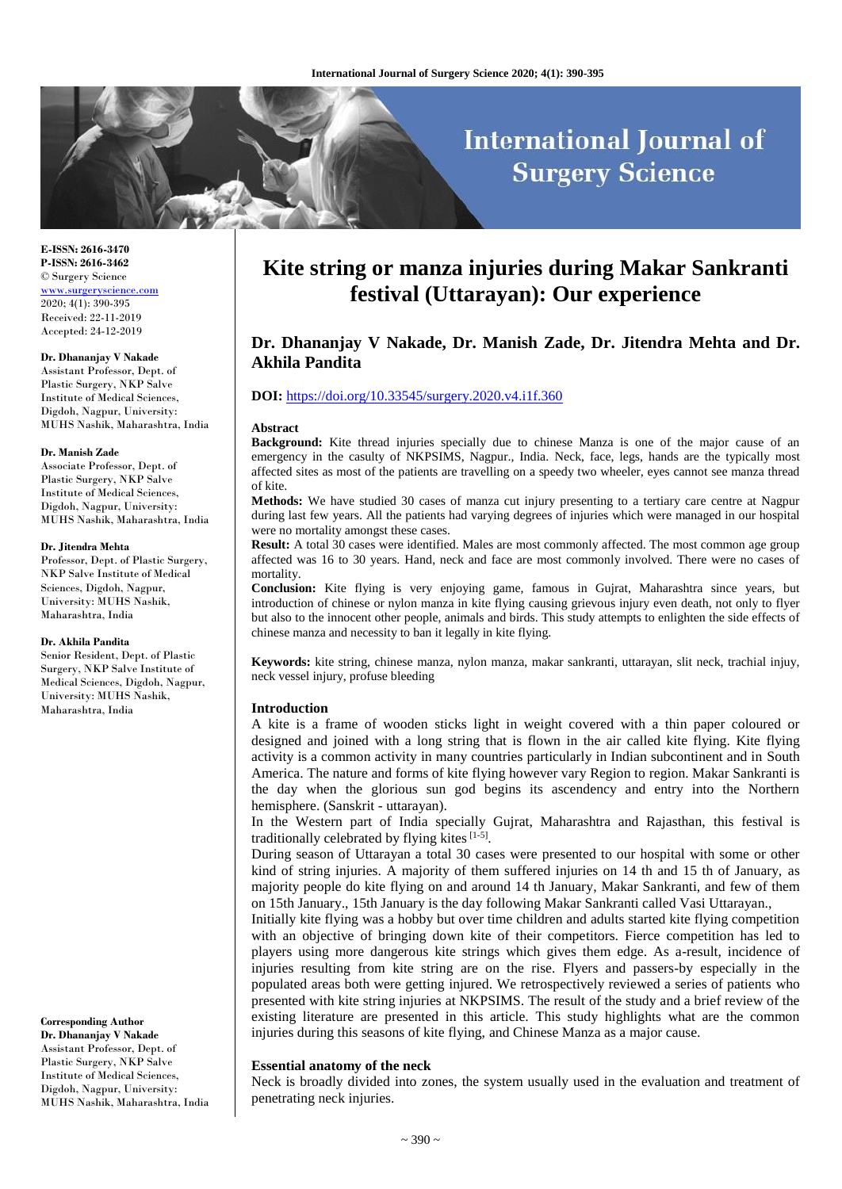# **International Journal of Surgery Science**

**E-ISSN: 2616-3470 P-ISSN: 2616-3462** © Surgery Science [www.surgeryscience.com](http://www.surgeryscience.com/) 2020; 4(1): 390-395 Received: 22-11-2019 Accepted: 24-12-2019

#### **Dr. Dhananjay V Nakade**

Assistant Professor, Dept. of Plastic Surgery, NKP Salve Institute of Medical Sciences, Digdoh, Nagpur, University: MUHS Nashik, Maharashtra, India

#### **Dr. Manish Zade**

Associate Professor, Dept. of Plastic Surgery, NKP Salve Institute of Medical Sciences, Digdoh, Nagpur, University: MUHS Nashik, Maharashtra, India

#### **Dr. Jitendra Mehta**

Professor, Dept. of Plastic Surgery, NKP Salve Institute of Medical Sciences, Digdoh, Nagpur, University: MUHS Nashik, Maharashtra, India

#### **Dr. Akhila Pandita**

Senior Resident, Dept. of Plastic Surgery, NKP Salve Institute of Medical Sciences, Digdoh, Nagpur, University: MUHS Nashik, Maharashtra, India

**Corresponding Author Dr. Dhananjay V Nakade** Assistant Professor, Dept. of Plastic Surgery, NKP Salve Institute of Medical Sciences, Digdoh, Nagpur, University: MUHS Nashik, Maharashtra, India

## **Kite string or manza injuries during Makar Sankranti festival (Uttarayan): Our experience**

### **Dr. Dhananjay V Nakade, Dr. Manish Zade, Dr. Jitendra Mehta and Dr. Akhila Pandita**

#### **DOI:** <https://doi.org/10.33545/surgery.2020.v4.i1f.360>

#### **Abstract**

**Background:** Kite thread injuries specially due to chinese Manza is one of the major cause of an emergency in the casulty of NKPSIMS, Nagpur., India. Neck, face, legs, hands are the typically most affected sites as most of the patients are travelling on a speedy two wheeler, eyes cannot see manza thread of kite.

**Methods:** We have studied 30 cases of manza cut injury presenting to a tertiary care centre at Nagpur during last few years. All the patients had varying degrees of injuries which were managed in our hospital were no mortality amongst these cases.

**Result:** A total 30 cases were identified. Males are most commonly affected. The most common age group affected was 16 to 30 years. Hand, neck and face are most commonly involved. There were no cases of mortality.

**Conclusion:** Kite flying is very enjoying game, famous in Gujrat, Maharashtra since years, but introduction of chinese or nylon manza in kite flying causing grievous injury even death, not only to flyer but also to the innocent other people, animals and birds. This study attempts to enlighten the side effects of chinese manza and necessity to ban it legally in kite flying.

**Keywords:** kite string, chinese manza, nylon manza, makar sankranti, uttarayan, slit neck, trachial injuy, neck vessel injury, profuse bleeding

#### **Introduction**

A kite is a frame of wooden sticks light in weight covered with a thin paper coloured or designed and joined with a long string that is flown in the air called kite flying. Kite flying activity is a common activity in many countries particularly in Indian subcontinent and in South America. The nature and forms of kite flying however vary Region to region. Makar Sankranti is the day when the glorious sun god begins its ascendency and entry into the Northern hemisphere. (Sanskrit - uttarayan).

In the Western part of India specially Gujrat, Maharashtra and Rajasthan, this festival is traditionally celebrated by flying kites [1-5].

During season of Uttarayan a total 30 cases were presented to our hospital with some or other kind of string injuries. A majority of them suffered injuries on 14 th and 15 th of January, as majority people do kite flying on and around 14 th January, Makar Sankranti, and few of them on 15th January., 15th January is the day following Makar Sankranti called Vasi Uttarayan.,

Initially kite flying was a hobby but over time children and adults started kite flying competition with an objective of bringing down kite of their competitors. Fierce competition has led to players using more dangerous kite strings which gives them edge. As a-result, incidence of injuries resulting from kite string are on the rise. Flyers and passers-by especially in the populated areas both were getting injured. We retrospectively reviewed a series of patients who presented with kite string injuries at NKPSIMS. The result of the study and a brief review of the existing literature are presented in this article. This study highlights what are the common injuries during this seasons of kite flying, and Chinese Manza as a major cause.

#### **Essential anatomy of the neck**

Neck is broadly divided into zones, the system usually used in the evaluation and treatment of penetrating neck injuries.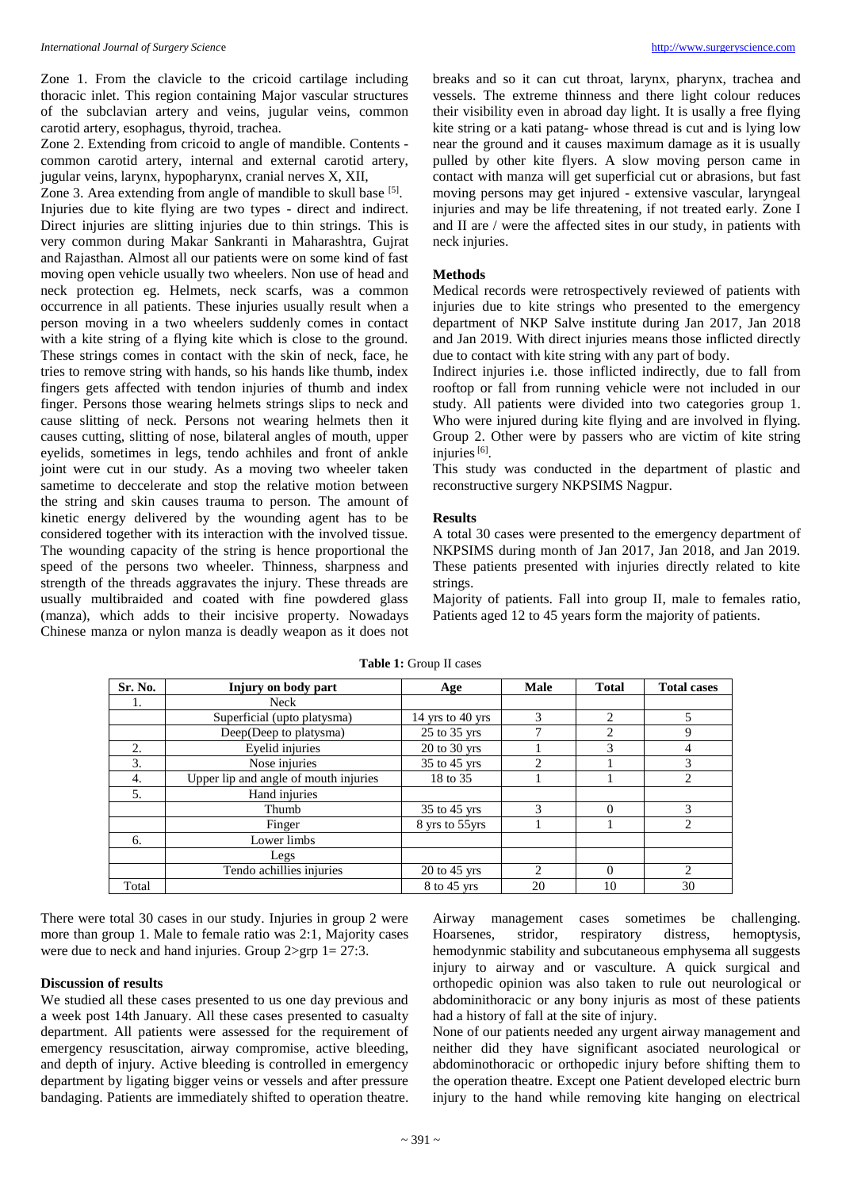Zone 1. From the clavicle to the cricoid cartilage including thoracic inlet. This region containing Major vascular structures of the subclavian artery and veins, jugular veins, common carotid artery, esophagus, thyroid, trachea.

Zone 2. Extending from cricoid to angle of mandible. Contents common carotid artery, internal and external carotid artery, jugular veins, larynx, hypopharynx, cranial nerves X, XII,

Zone 3. Area extending from angle of mandible to skull base [5]. Injuries due to kite flying are two types - direct and indirect. Direct injuries are slitting injuries due to thin strings. This is very common during Makar Sankranti in Maharashtra, Gujrat and Rajasthan. Almost all our patients were on some kind of fast moving open vehicle usually two wheelers. Non use of head and neck protection eg. Helmets, neck scarfs, was a common occurrence in all patients. These injuries usually result when a person moving in a two wheelers suddenly comes in contact with a kite string of a flying kite which is close to the ground. These strings comes in contact with the skin of neck, face, he tries to remove string with hands, so his hands like thumb, index fingers gets affected with tendon injuries of thumb and index finger. Persons those wearing helmets strings slips to neck and cause slitting of neck. Persons not wearing helmets then it causes cutting, slitting of nose, bilateral angles of mouth, upper eyelids, sometimes in legs, tendo achhiles and front of ankle joint were cut in our study. As a moving two wheeler taken sametime to deccelerate and stop the relative motion between the string and skin causes trauma to person. The amount of kinetic energy delivered by the wounding agent has to be considered together with its interaction with the involved tissue. The wounding capacity of the string is hence proportional the speed of the persons two wheeler. Thinness, sharpness and strength of the threads aggravates the injury. These threads are usually multibraided and coated with fine powdered glass (manza), which adds to their incisive property. Nowadays Chinese manza or nylon manza is deadly weapon as it does not breaks and so it can cut throat, larynx, pharynx, trachea and vessels. The extreme thinness and there light colour reduces their visibility even in abroad day light. It is usally a free flying kite string or a kati patang- whose thread is cut and is lying low near the ground and it causes maximum damage as it is usually pulled by other kite flyers. A slow moving person came in contact with manza will get superficial cut or abrasions, but fast moving persons may get injured - extensive vascular, laryngeal injuries and may be life threatening, if not treated early. Zone I and II are / were the affected sites in our study, in patients with neck injuries.

#### **Methods**

Medical records were retrospectively reviewed of patients with injuries due to kite strings who presented to the emergency department of NKP Salve institute during Jan 2017, Jan 2018 and Jan 2019. With direct injuries means those inflicted directly due to contact with kite string with any part of body.

Indirect injuries i.e. those inflicted indirectly, due to fall from rooftop or fall from running vehicle were not included in our study. All patients were divided into two categories group 1. Who were injured during kite flying and are involved in flying. Group 2. Other were by passers who are victim of kite string injuries<sup>[6]</sup>.

This study was conducted in the department of plastic and reconstructive surgery NKPSIMS Nagpur.

#### **Results**

A total 30 cases were presented to the emergency department of NKPSIMS during month of Jan 2017, Jan 2018, and Jan 2019. These patients presented with injuries directly related to kite strings.

Majority of patients. Fall into group II, male to females ratio, Patients aged 12 to 45 years form the majority of patients.

| Sr. No. | Injury on body part                   | Age                       | Male                          | <b>Total</b>                | <b>Total cases</b> |
|---------|---------------------------------------|---------------------------|-------------------------------|-----------------------------|--------------------|
| 1.      | Neck                                  |                           |                               |                             |                    |
|         | Superficial (upto platysma)           | 14 yrs to 40 yrs          | $\mathcal{R}$                 | $\mathcal{D}_{\mathcal{L}}$ | 5                  |
|         | Deep(Deep to platysma)                | 25 to 35 yrs              |                               | 2                           | 9                  |
| 2.      | Eyelid injuries                       | $20$ to $30$ yrs          |                               | 3                           | 4                  |
| 3.      | Nose injuries                         | $\overline{35}$ to 45 yrs | $\mathfrak{D}_{\mathfrak{p}}$ |                             | 3                  |
| 4.      | Upper lip and angle of mouth injuries | 18 to 35                  |                               |                             | $\overline{c}$     |
| 5.      | Hand injuries                         |                           |                               |                             |                    |
|         | Thumb                                 | 35 to 45 yrs              | 3                             | $\Omega$                    | 3                  |
|         | Finger                                | 8 yrs to 55yrs            |                               |                             | $\overline{c}$     |
| 6.      | Lower limbs                           |                           |                               |                             |                    |
|         | Legs                                  |                           |                               |                             |                    |
|         | Tendo achillies injuries              | $20$ to $45$ yrs          | $\mathcal{D}_{\mathcal{L}}$   | $\Omega$                    | $\mathfrak{D}$     |
| Total   |                                       | 8 to 45 yrs               | 20                            | 10                          | 30                 |

**Table 1:** Group II cases

There were total 30 cases in our study. Injuries in group 2 were more than group 1. Male to female ratio was 2:1, Majority cases were due to neck and hand injuries. Group 2>grp 1= 27:3.

#### **Discussion of results**

We studied all these cases presented to us one day previous and a week post 14th January. All these cases presented to casualty department. All patients were assessed for the requirement of emergency resuscitation, airway compromise, active bleeding, and depth of injury. Active bleeding is controlled in emergency department by ligating bigger veins or vessels and after pressure bandaging. Patients are immediately shifted to operation theatre.

Airway management cases sometimes be challenging. Hoarsenes, stridor, respiratory distress, hemoptysis, hemodynmic stability and subcutaneous emphysema all suggests injury to airway and or vasculture. A quick surgical and orthopedic opinion was also taken to rule out neurological or abdominithoracic or any bony injuris as most of these patients had a history of fall at the site of injury.

None of our patients needed any urgent airway management and neither did they have significant asociated neurological or abdominothoracic or orthopedic injury before shifting them to the operation theatre. Except one Patient developed electric burn injury to the hand while removing kite hanging on electrical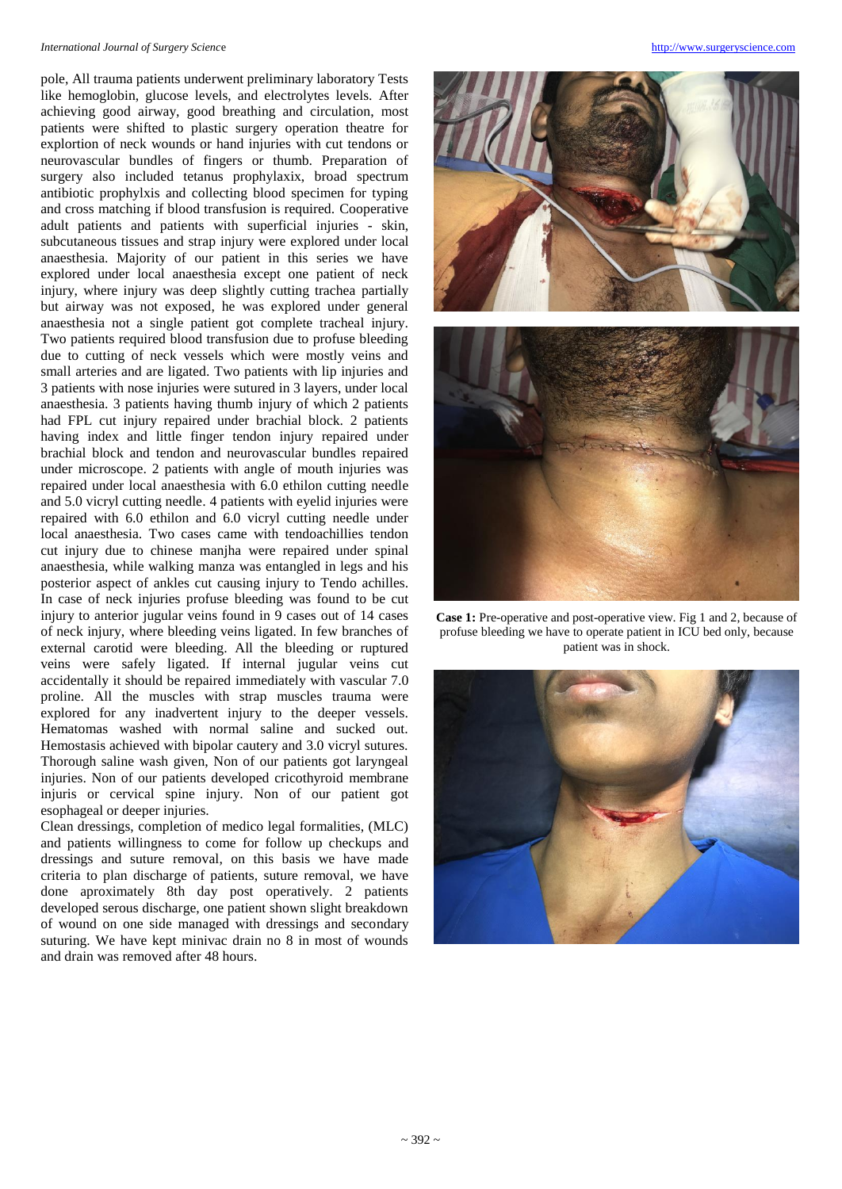#### *International Journal of Surgery Scienc*e [http://www.surgeryscience.com](http://www.surgeryscience.com/)

pole, All trauma patients underwent preliminary laboratory Tests like hemoglobin, glucose levels, and electrolytes levels. After achieving good airway, good breathing and circulation, most patients were shifted to plastic surgery operation theatre for explortion of neck wounds or hand injuries with cut tendons or neurovascular bundles of fingers or thumb. Preparation of surgery also included tetanus prophylaxix, broad spectrum antibiotic prophylxis and collecting blood specimen for typing and cross matching if blood transfusion is required. Cooperative adult patients and patients with superficial injuries - skin, subcutaneous tissues and strap injury were explored under local anaesthesia. Majority of our patient in this series we have explored under local anaesthesia except one patient of neck injury, where injury was deep slightly cutting trachea partially but airway was not exposed, he was explored under general anaesthesia not a single patient got complete tracheal injury. Two patients required blood transfusion due to profuse bleeding due to cutting of neck vessels which were mostly veins and small arteries and are ligated. Two patients with lip injuries and 3 patients with nose injuries were sutured in 3 layers, under local anaesthesia. 3 patients having thumb injury of which 2 patients had FPL cut injury repaired under brachial block. 2 patients having index and little finger tendon injury repaired under brachial block and tendon and neurovascular bundles repaired under microscope. 2 patients with angle of mouth injuries was repaired under local anaesthesia with 6.0 ethilon cutting needle and 5.0 vicryl cutting needle. 4 patients with eyelid injuries were repaired with 6.0 ethilon and 6.0 vicryl cutting needle under local anaesthesia. Two cases came with tendoachillies tendon cut injury due to chinese manjha were repaired under spinal anaesthesia, while walking manza was entangled in legs and his posterior aspect of ankles cut causing injury to Tendo achilles. In case of neck injuries profuse bleeding was found to be cut injury to anterior jugular veins found in 9 cases out of 14 cases of neck injury, where bleeding veins ligated. In few branches of external carotid were bleeding. All the bleeding or ruptured veins were safely ligated. If internal jugular veins cut accidentally it should be repaired immediately with vascular 7.0 proline. All the muscles with strap muscles trauma were explored for any inadvertent injury to the deeper vessels. Hematomas washed with normal saline and sucked out. Hemostasis achieved with bipolar cautery and 3.0 vicryl sutures. Thorough saline wash given, Non of our patients got laryngeal injuries. Non of our patients developed cricothyroid membrane injuris or cervical spine injury. Non of our patient got esophageal or deeper injuries.

Clean dressings, completion of medico legal formalities, (MLC) and patients willingness to come for follow up checkups and dressings and suture removal, on this basis we have made criteria to plan discharge of patients, suture removal, we have done aproximately 8th day post operatively. 2 patients developed serous discharge, one patient shown slight breakdown of wound on one side managed with dressings and secondary suturing. We have kept minivac drain no 8 in most of wounds and drain was removed after 48 hours.



**Case 1:** Pre-operative and post-operative view. Fig 1 and 2, because of profuse bleeding we have to operate patient in ICU bed only, because patient was in shock.

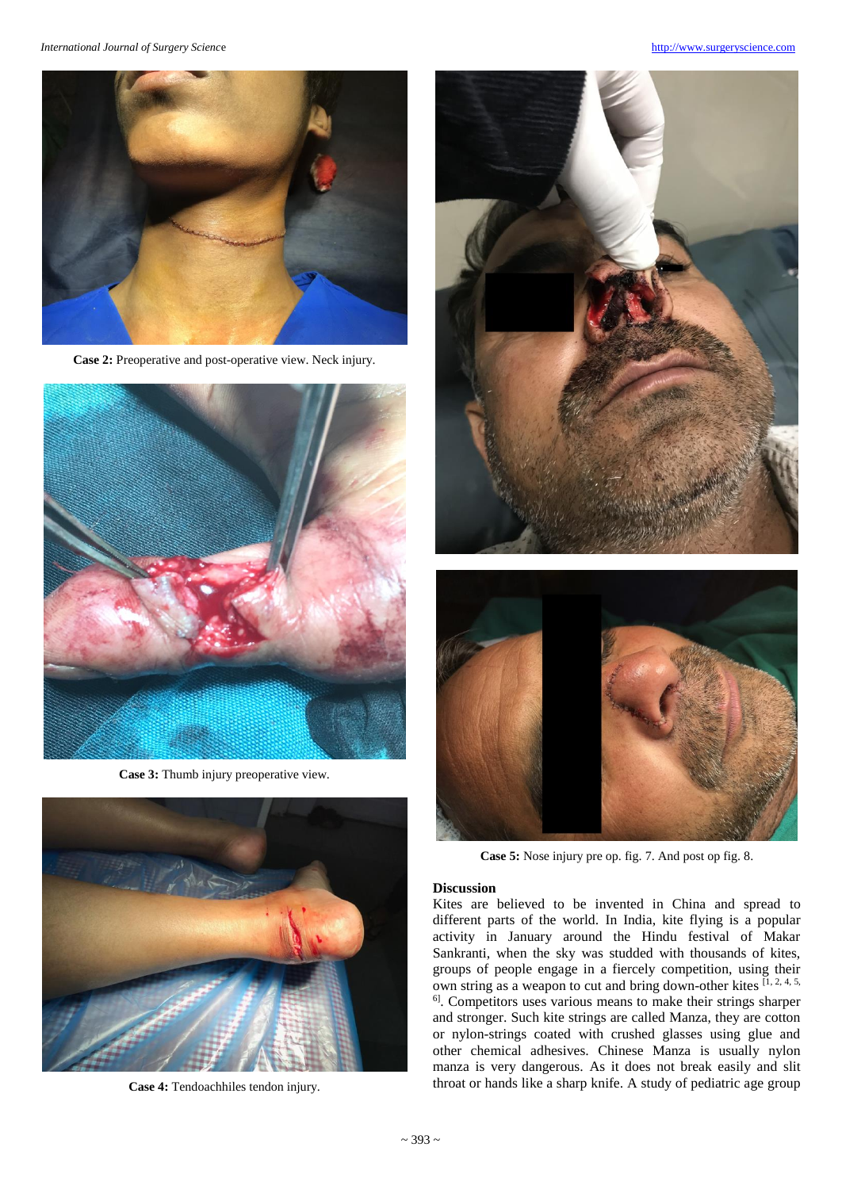*International Journal of Surgery Scienc*e [http://www.surgeryscience.com](http://www.surgeryscience.com/)



**Case 2:** Preoperative and post-operative view. Neck injury.



**Case 3:** Thumb injury preoperative view.



**Case 4:** Tendoachhiles tendon injury.





**Case 5:** Nose injury pre op. fig. 7. And post op fig. 8.

#### **Discussion**

Kites are believed to be invented in China and spread to different parts of the world. In India, kite flying is a popular activity in January around the Hindu festival of Makar Sankranti, when the sky was studded with thousands of kites, groups of people engage in a fiercely competition, using their own string as a weapon to cut and bring down-other kites  $\left[1, 2, 4, 5, \ldots\right]$ 6] . Competitors uses various means to make their strings sharper and stronger. Such kite strings are called Manza, they are cotton or nylon-strings coated with crushed glasses using glue and other chemical adhesives. Chinese Manza is usually nylon manza is very dangerous. As it does not break easily and slit throat or hands like a sharp knife. A study of pediatric age group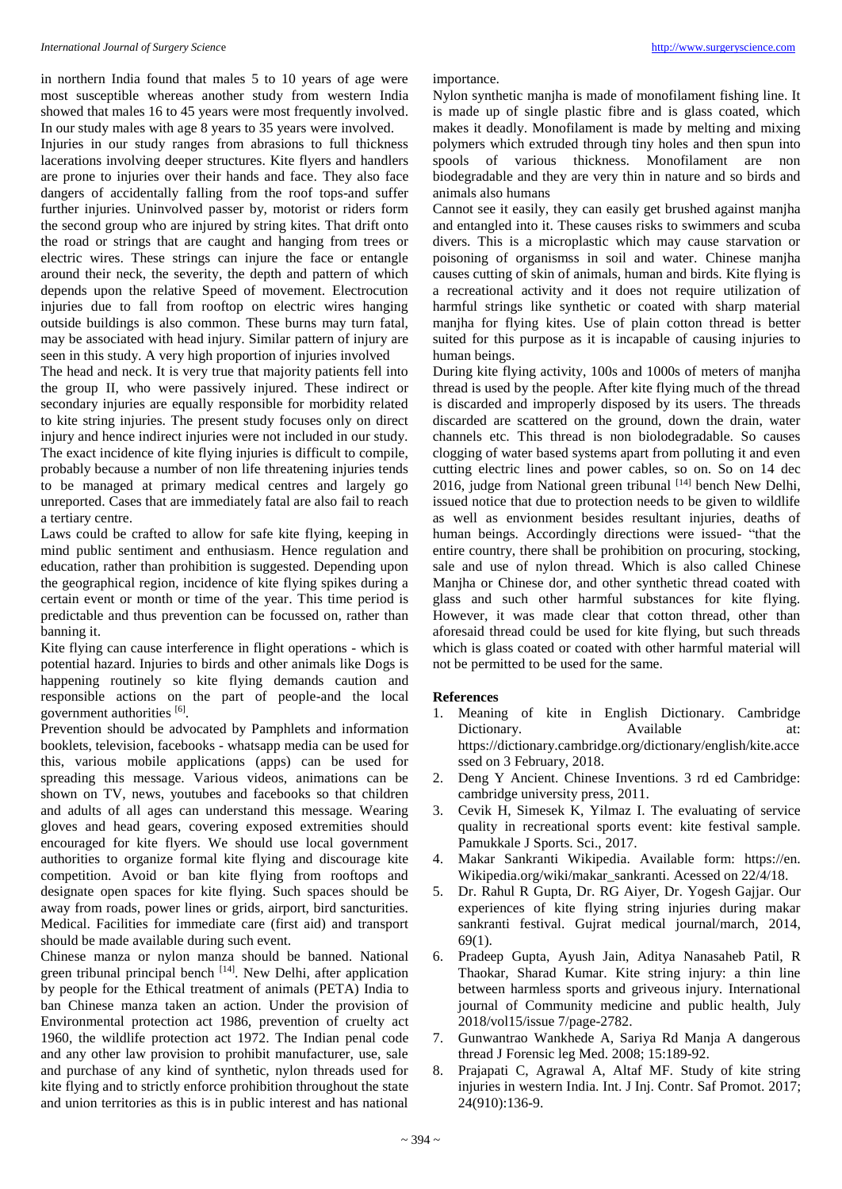#### *International Journal of Surgery Scienc*e [http://www.surgeryscience.com](http://www.surgeryscience.com/)

in northern India found that males 5 to 10 years of age were most susceptible whereas another study from western India showed that males 16 to 45 years were most frequently involved. In our study males with age 8 years to 35 years were involved.

Injuries in our study ranges from abrasions to full thickness lacerations involving deeper structures. Kite flyers and handlers are prone to injuries over their hands and face. They also face dangers of accidentally falling from the roof tops-and suffer further injuries. Uninvolved passer by, motorist or riders form the second group who are injured by string kites. That drift onto the road or strings that are caught and hanging from trees or electric wires. These strings can injure the face or entangle around their neck, the severity, the depth and pattern of which depends upon the relative Speed of movement. Electrocution injuries due to fall from rooftop on electric wires hanging outside buildings is also common. These burns may turn fatal, may be associated with head injury. Similar pattern of injury are seen in this study. A very high proportion of injuries involved

The head and neck. It is very true that majority patients fell into the group II, who were passively injured. These indirect or secondary injuries are equally responsible for morbidity related to kite string injuries. The present study focuses only on direct injury and hence indirect injuries were not included in our study. The exact incidence of kite flying injuries is difficult to compile, probably because a number of non life threatening injuries tends to be managed at primary medical centres and largely go unreported. Cases that are immediately fatal are also fail to reach a tertiary centre.

Laws could be crafted to allow for safe kite flying, keeping in mind public sentiment and enthusiasm. Hence regulation and education, rather than prohibition is suggested. Depending upon the geographical region, incidence of kite flying spikes during a certain event or month or time of the year. This time period is predictable and thus prevention can be focussed on, rather than banning it.

Kite flying can cause interference in flight operations - which is potential hazard. Injuries to birds and other animals like Dogs is happening routinely so kite flying demands caution and responsible actions on the part of people-and the local government authorities [6].

Prevention should be advocated by Pamphlets and information booklets, television, facebooks - whatsapp media can be used for this, various mobile applications (apps) can be used for spreading this message. Various videos, animations can be shown on TV, news, youtubes and facebooks so that children and adults of all ages can understand this message. Wearing gloves and head gears, covering exposed extremities should encouraged for kite flyers. We should use local government authorities to organize formal kite flying and discourage kite competition. Avoid or ban kite flying from rooftops and designate open spaces for kite flying. Such spaces should be away from roads, power lines or grids, airport, bird sancturities. Medical. Facilities for immediate care (first aid) and transport should be made available during such event.

Chinese manza or nylon manza should be banned. National green tribunal principal bench <sup>[14]</sup>. New Delhi, after application by people for the Ethical treatment of animals (PETA) India to ban Chinese manza taken an action. Under the provision of Environmental protection act 1986, prevention of cruelty act 1960, the wildlife protection act 1972. The Indian penal code and any other law provision to prohibit manufacturer, use, sale and purchase of any kind of synthetic, nylon threads used for kite flying and to strictly enforce prohibition throughout the state and union territories as this is in public interest and has national

importance.

Nylon synthetic manjha is made of monofilament fishing line. It is made up of single plastic fibre and is glass coated, which makes it deadly. Monofilament is made by melting and mixing polymers which extruded through tiny holes and then spun into spools of various thickness. Monofilament are non biodegradable and they are very thin in nature and so birds and animals also humans

Cannot see it easily, they can easily get brushed against manjha and entangled into it. These causes risks to swimmers and scuba divers. This is a microplastic which may cause starvation or poisoning of organismss in soil and water. Chinese manjha causes cutting of skin of animals, human and birds. Kite flying is a recreational activity and it does not require utilization of harmful strings like synthetic or coated with sharp material manjha for flying kites. Use of plain cotton thread is better suited for this purpose as it is incapable of causing injuries to human beings.

During kite flying activity, 100s and 1000s of meters of manjha thread is used by the people. After kite flying much of the thread is discarded and improperly disposed by its users. The threads discarded are scattered on the ground, down the drain, water channels etc. This thread is non biolodegradable. So causes clogging of water based systems apart from polluting it and even cutting electric lines and power cables, so on. So on 14 dec 2016, judge from National green tribunal [14] bench New Delhi, issued notice that due to protection needs to be given to wildlife as well as envionment besides resultant injuries, deaths of human beings. Accordingly directions were issued- "that the entire country, there shall be prohibition on procuring, stocking, sale and use of nylon thread. Which is also called Chinese Manjha or Chinese dor, and other synthetic thread coated with glass and such other harmful substances for kite flying. However, it was made clear that cotton thread, other than aforesaid thread could be used for kite flying, but such threads which is glass coated or coated with other harmful material will not be permitted to be used for the same.

#### **References**

- 1. Meaning of kite in English Dictionary. Cambridge Dictionary. Available at: https://dictionary.cambridge.org/dictionary/english/kite.acce ssed on 3 February, 2018.
- 2. Deng Y Ancient. Chinese Inventions. 3 rd ed Cambridge: cambridge university press, 2011.
- 3. Cevik H, Simesek K, Yilmaz I. The evaluating of service quality in recreational sports event: kite festival sample. Pamukkale J Sports. Sci., 2017.
- 4. Makar Sankranti Wikipedia. Available form: https://en. Wikipedia.org/wiki/makar\_sankranti. Acessed on 22/4/18.
- 5. Dr. Rahul R Gupta, Dr. RG Aiyer, Dr. Yogesh Gajjar. Our experiences of kite flying string injuries during makar sankranti festival. Gujrat medical journal/march, 2014, 69(1).
- 6. Pradeep Gupta, Ayush Jain, Aditya Nanasaheb Patil, R Thaokar, Sharad Kumar. Kite string injury: a thin line between harmless sports and griveous injury. International journal of Community medicine and public health, July 2018/vol15/issue 7/page-2782.
- 7. Gunwantrao Wankhede A, Sariya Rd Manja A dangerous thread J Forensic leg Med. 2008; 15:189-92.
- 8. Prajapati C, Agrawal A, Altaf MF. Study of kite string injuries in western India. Int. J Inj. Contr. Saf Promot. 2017; 24(910):136-9.